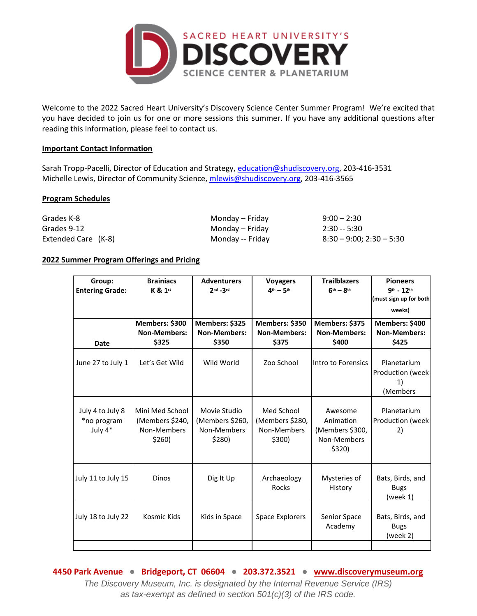

Welcome to the 2022 Sacred Heart University's Discovery Science Center Summer Program! We're excited that you have decided to join us for one or more sessions this summer. If you have any additional questions after reading this information, please feel to contact us.

#### **Important Contact Information**

Sarah Tropp-Pacelli, Director of Education and Strategy, [education@shudiscovery.org,](mailto:education@shudiscovery.org) 203-416-3531 Michelle Lewis, Director of Community Science, [mlewis@shudiscovery.org,](mailto:mlewis@shudiscovery.org) 203-416-3565

#### **Program Schedules**

| Grades K-8          | Monday – Friday  | $9:00 - 2:30$              |
|---------------------|------------------|----------------------------|
| Grades 9-12         | Monday – Friday  | $2:30 - 5:30$              |
| Extended Care (K-8) | Monday -- Friday | $8:30 - 9:00; 2:30 - 5:30$ |

#### **2022 Summer Program Offerings and Pricing**

| <b>Brainiacs</b><br>K & 1st                                 | <b>Adventurers</b><br>$2nd - 3rd$                        | <b>Voyagers</b><br>$4th - 5th$                         | <b>Trailblazers</b><br>$6th - 8th$                               | <b>Pioneers</b><br>$9^{th} - 12^{th}$<br>(must sign up for both<br>weeks) |
|-------------------------------------------------------------|----------------------------------------------------------|--------------------------------------------------------|------------------------------------------------------------------|---------------------------------------------------------------------------|
| Members: \$300<br><b>Non-Members:</b><br>\$325              | Members: \$325<br><b>Non-Members:</b><br>\$350           | Members: \$350<br><b>Non-Members:</b><br>\$375         | Members: \$375<br><b>Non-Members:</b><br>\$400                   | Members: \$400<br><b>Non-Members:</b><br>\$425                            |
| Let's Get Wild                                              | Wild World                                               | Zoo School                                             | Intro to Forensics                                               | Planetarium<br>Production (week<br>1)<br>(Members                         |
| Mini Med School<br>(Members \$240,<br>Non-Members<br>\$260) | Movie Studio<br>(Members \$260,<br>Non-Members<br>\$280) | Med School<br>(Members \$280,<br>Non-Members<br>\$300) | Awesome<br>Animation<br>(Members \$300,<br>Non-Members<br>\$320) | Planetarium<br>Production (week<br>2)                                     |
| Dinos                                                       | Dig It Up                                                | Archaeology<br>Rocks                                   | Mysteries of<br>History                                          | Bats, Birds, and<br><b>Bugs</b><br>(week 1)                               |
| Kosmic Kids                                                 | Kids in Space                                            | <b>Space Explorers</b>                                 | Senior Space<br>Academy                                          | Bats, Birds, and<br><b>Bugs</b><br>(week 2)                               |
|                                                             |                                                          |                                                        |                                                                  |                                                                           |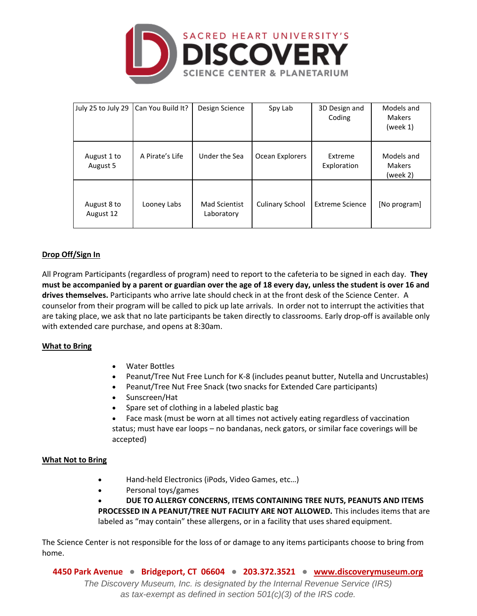

| July 25 to July 29       | Can You Build It? | Design Science              | Spy Lab                | 3D Design and<br>Coding | Models and<br><b>Makers</b><br>(week $1$ ) |
|--------------------------|-------------------|-----------------------------|------------------------|-------------------------|--------------------------------------------|
| August 1 to<br>August 5  | A Pirate's Life   | Under the Sea               | Ocean Explorers        | Extreme<br>Exploration  | Models and<br><b>Makers</b><br>(week 2)    |
| August 8 to<br>August 12 | Looney Labs       | Mad Scientist<br>Laboratory | <b>Culinary School</b> | <b>Extreme Science</b>  | [No program]                               |

# **Drop Off/Sign In**

All Program Participants (regardless of program) need to report to the cafeteria to be signed in each day. **They must be accompanied by a parent or guardian over the age of 18 every day, unless the student is over 16 and drives themselves.** Participants who arrive late should check in at the front desk of the Science Center. A counselor from their program will be called to pick up late arrivals. In order not to interrupt the activities that are taking place, we ask that no late participants be taken directly to classrooms. Early drop-off is available only with extended care purchase, and opens at 8:30am.

### **What to Bring**

- Water Bottles
- Peanut/Tree Nut Free Lunch for K-8 (includes peanut butter, Nutella and Uncrustables)
- Peanut/Tree Nut Free Snack (two snacks for Extended Care participants)
- Sunscreen/Hat
- Spare set of clothing in a labeled plastic bag
- Face mask (must be worn at all times not actively eating regardless of vaccination status; must have ear loops – no bandanas, neck gators, or similar face coverings will be accepted)

### **What Not to Bring**

- Hand-held Electronics (iPods, Video Games, etc…)
- Personal toys/games

• **DUE TO ALLERGY CONCERNS, ITEMS CONTAINING TREE NUTS, PEANUTS AND ITEMS PROCESSED IN A PEANUT/TREE NUT FACILITY ARE NOT ALLOWED.** This includes items that are labeled as "may contain" these allergens, or in a facility that uses shared equipment.

The Science Center is not responsible for the loss of or damage to any items participants choose to bring from home.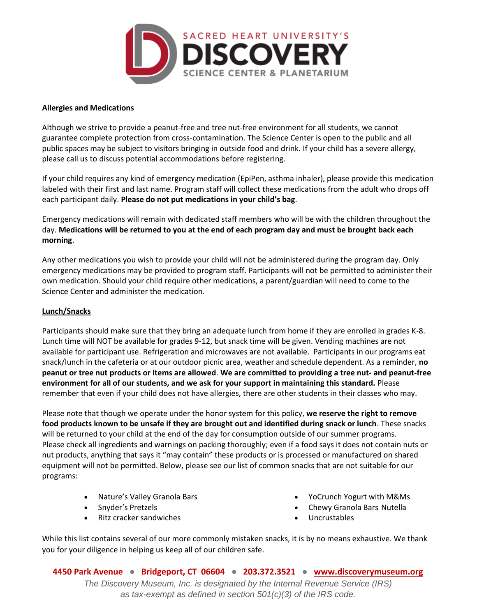

### **Allergies and Medications**

Although we strive to provide a peanut-free and tree nut-free environment for all students, we cannot guarantee complete protection from cross-contamination. The Science Center is open to the public and all public spaces may be subject to visitors bringing in outside food and drink. If your child has a severe allergy, please call us to discuss potential accommodations before registering.

If your child requires any kind of emergency medication (EpiPen, asthma inhaler), please provide this medication labeled with their first and last name. Program staff will collect these medications from the adult who drops off each participant daily. **Please do not put medications in your child's bag**.

Emergency medications will remain with dedicated staff members who will be with the children throughout the day. **Medications will be returned to you at the end of each program day and must be brought back each morning**.

Any other medications you wish to provide your child will not be administered during the program day. Only emergency medications may be provided to program staff. Participants will not be permitted to administer their own medication. Should your child require other medications, a parent/guardian will need to come to the Science Center and administer the medication.

### **Lunch/Snacks**

Participants should make sure that they bring an adequate lunch from home if they are enrolled in grades K-8. Lunch time will NOT be available for grades 9-12, but snack time will be given. Vending machines are not available for participant use. Refrigeration and microwaves are not available. Participants in our programs eat snack/lunch in the cafeteria or at our outdoor picnic area, weather and schedule dependent. As a reminder, **no peanut or tree nut products or items are allowed**. **We are committed to providing a tree nut- and peanut-free environment for all of our students, and we ask for your support in maintaining this standard.** Please remember that even if your child does not have allergies, there are other students in their classes who may.

Please note that though we operate under the honor system for this policy, **we reserve the right to remove food products known to be unsafe if they are brought out and identified during snack or lunch**. These snacks will be returned to your child at the end of the day for consumption outside of our summer programs. Please check all ingredients and warnings on packing thoroughly; even if a food says it does not contain nuts or nut products, anything that says it "may contain" these products or is processed or manufactured on shared equipment will not be permitted. Below, please see our list of common snacks that are not suitable for our programs:

- Nature's Valley Granola Bars
- Snyder's Pretzels
- Ritz cracker sandwiches
- YoCrunch Yogurt with M&Ms
- Chewy Granola Bars Nutella
- Uncrustables

While this list contains several of our more commonly mistaken snacks, it is by no means exhaustive. We thank you for your diligence in helping us keep all of our children safe.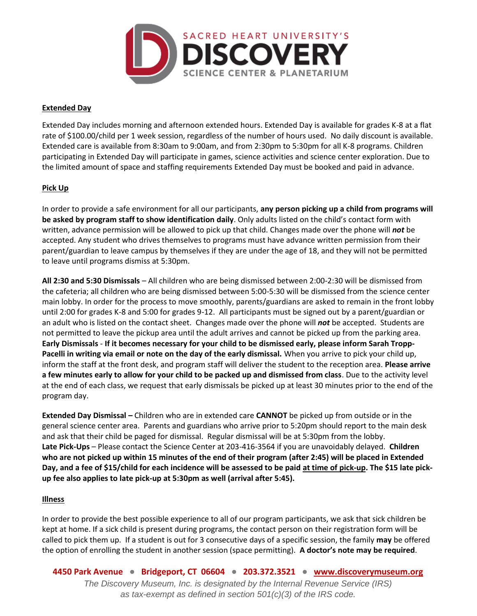

### **Extended Day**

Extended Day includes morning and afternoon extended hours. Extended Day is available for grades K-8 at a flat rate of \$100.00/child per 1 week session, regardless of the number of hours used. No daily discount is available. Extended care is available from 8:30am to 9:00am, and from 2:30pm to 5:30pm for all K-8 programs. Children participating in Extended Day will participate in games, science activities and science center exploration. Due to the limited amount of space and staffing requirements Extended Day must be booked and paid in advance.

## **Pick Up**

In order to provide a safe environment for all our participants, **any person picking up a child from programs will be asked by program staff to show identification daily**. Only adults listed on the child's contact form with written, advance permission will be allowed to pick up that child. Changes made over the phone will *not* be accepted. Any student who drives themselves to programs must have advance written permission from their parent/guardian to leave campus by themselves if they are under the age of 18, and they will not be permitted to leave until programs dismiss at 5:30pm.

**All 2:30 and 5:30 Dismissals** – All children who are being dismissed between 2:00-2:30 will be dismissed from the cafeteria; all children who are being dismissed between 5:00-5:30 will be dismissed from the science center main lobby. In order for the process to move smoothly, parents/guardians are asked to remain in the front lobby until 2:00 for grades K-8 and 5:00 for grades 9-12. All participants must be signed out by a parent/guardian or an adult who is listed on the contact sheet. Changes made over the phone will *not* be accepted. Students are not permitted to leave the pickup area until the adult arrives and cannot be picked up from the parking area. **Early Dismissals** - **If it becomes necessary for your child to be dismissed early, please inform Sarah Tropp-Pacelli in writing via email or note on the day of the early dismissal.** When you arrive to pick your child up, inform the staff at the front desk, and program staff will deliver the student to the reception area. **Please arrive a few minutes early to allow for your child to be packed up and dismissed from class**. Due to the activity level at the end of each class, we request that early dismissals be picked up at least 30 minutes prior to the end of the program day.

**Extended Day Dismissal –** Children who are in extended care **CANNOT** be picked up from outside or in the general science center area. Parents and guardians who arrive prior to 5:20pm should report to the main desk and ask that their child be paged for dismissal. Regular dismissal will be at 5:30pm from the lobby. **Late Pick-Ups** – Please contact the Science Center at 203-416-3564 if you are unavoidably delayed. **Children who are not picked up within 15 minutes of the end of their program (after 2:45) will be placed in Extended Day, and a fee of \$15/child for each incidence will be assessed to be paid at time of pick-up. The \$15 late pickup fee also applies to late pick-up at 5:30pm as well (arrival after 5:45).**

### **Illness**

In order to provide the best possible experience to all of our program participants, we ask that sick children be kept at home. If a sick child is present during programs, the contact person on their registration form will be called to pick them up. If a student is out for 3 consecutive days of a specific session, the family **may** be offered the option of enrolling the student in another session (space permitting). **A doctor's note may be required**.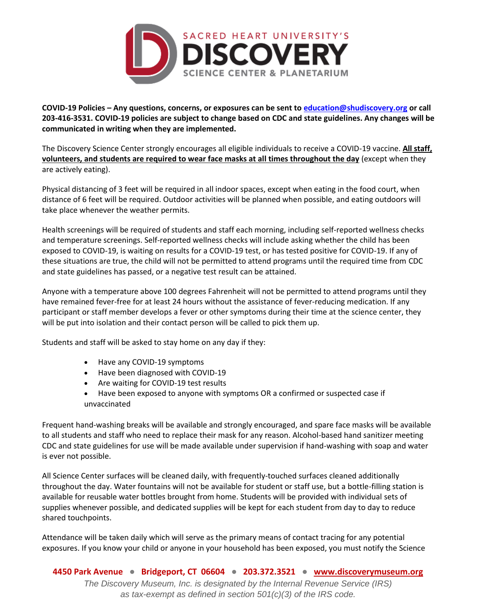

**COVID-19 Policies – Any questions, concerns, or exposures can be sent t[o education@shudiscovery.org](mailto:education@shudiscovery.org) or call 203-416-3531. COVID-19 policies are subject to change based on CDC and state guidelines. Any changes will be communicated in writing when they are implemented.**

The Discovery Science Center strongly encourages all eligible individuals to receive a COVID-19 vaccine. **All staff, volunteers, and students are required to wear face masks at all times throughout the day** (except when they are actively eating).

Physical distancing of 3 feet will be required in all indoor spaces, except when eating in the food court, when distance of 6 feet will be required. Outdoor activities will be planned when possible, and eating outdoors will take place whenever the weather permits.

Health screenings will be required of students and staff each morning, including self-reported wellness checks and temperature screenings. Self-reported wellness checks will include asking whether the child has been exposed to COVID-19, is waiting on results for a COVID-19 test, or has tested positive for COVID-19. If any of these situations are true, the child will not be permitted to attend programs until the required time from CDC and state guidelines has passed, or a negative test result can be attained.

Anyone with a temperature above 100 degrees Fahrenheit will not be permitted to attend programs until they have remained fever-free for at least 24 hours without the assistance of fever-reducing medication. If any participant or staff member develops a fever or other symptoms during their time at the science center, they will be put into isolation and their contact person will be called to pick them up.

Students and staff will be asked to stay home on any day if they:

- Have any COVID-19 symptoms
- Have been diagnosed with COVID-19
- Are waiting for COVID-19 test results
- Have been exposed to anyone with symptoms OR a confirmed or suspected case if unvaccinated

Frequent hand-washing breaks will be available and strongly encouraged, and spare face masks will be available to all students and staff who need to replace their mask for any reason. Alcohol-based hand sanitizer meeting CDC and state guidelines for use will be made available under supervision if hand-washing with soap and water is ever not possible.

All Science Center surfaces will be cleaned daily, with frequently-touched surfaces cleaned additionally throughout the day. Water fountains will not be available for student or staff use, but a bottle-filling station is available for reusable water bottles brought from home. Students will be provided with individual sets of supplies whenever possible, and dedicated supplies will be kept for each student from day to day to reduce shared touchpoints.

Attendance will be taken daily which will serve as the primary means of contact tracing for any potential exposures. If you know your child or anyone in your household has been exposed, you must notify the Science